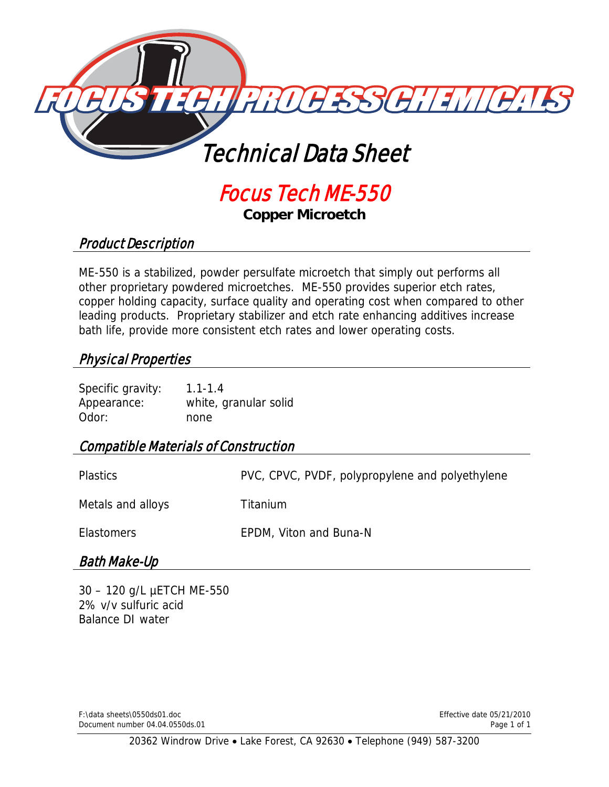

# Focus Tech ME-550

**Copper Microetch** 

## Product Description

ME-550 is a stabilized, powder persulfate microetch that simply out performs all other proprietary powdered microetches. ME-550 provides superior etch rates, copper holding capacity, surface quality and operating cost when compared to other leading products. Proprietary stabilizer and etch rate enhancing additives increase bath life, provide more consistent etch rates and lower operating costs.

## Physical Properties

Specific gravity: 1.1-1.4 Appearance: white, granular solid Odor: none

## Compatible Materials of Construction

| <b>Plastics</b>   | PVC, CPVC, PVDF, polypropylene and polyethylene |
|-------------------|-------------------------------------------------|
| Metals and alloys | Titanium                                        |
| <b>Elastomers</b> | EPDM, Viton and Buna-N                          |

# Bath Make-Up

30 – 120 g/L µETCH ME-550 2% v/v sulfuric acid Balance DI water

F:\data sheets\0550ds01.doc Effective date 05/21/2010 Document number 04.04.0550ds.01 Page 1 of 1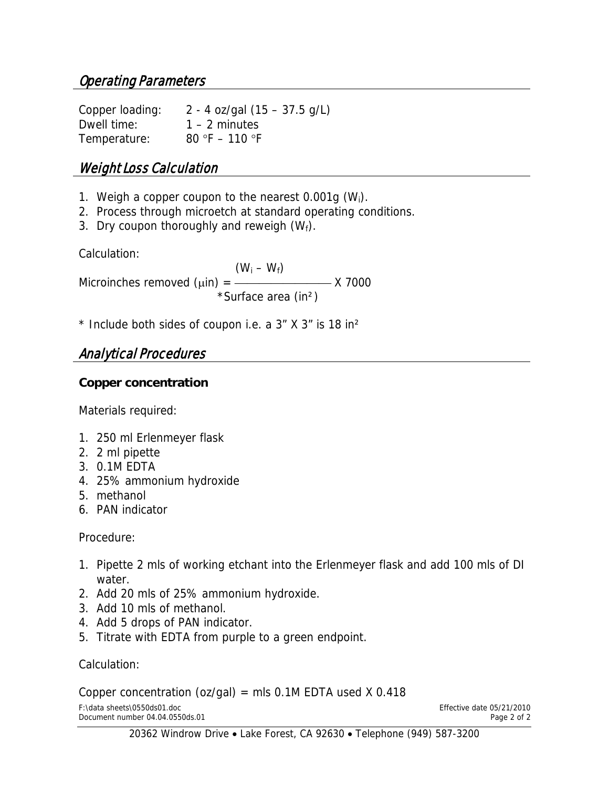Copper loading: 2 - 4 oz/gal (15 – 37.5 g/L) Dwell time: 1 – 2 minutes Temperature: 80 °F – 110 °F

# Weight Loss Calculation

- 1. Weigh a copper coupon to the nearest  $0.001g$  (W<sub>i</sub>).
- 2. Process through microetch at standard operating conditions.
- 3. Dry coupon thoroughly and reweigh  $(W_f)$ .

Calculation:

 $(W_i - W_f)$ Microinches removed  $(\mu$ in) =  $\frac{1}{\sigma}$  X 7000 \*Surface area (in²)

 $*$  Include both sides of coupon i.e. a  $3''$  X  $3''$  is 18 in<sup>2</sup>

# Analytical Procedures

#### **Copper concentration**

Materials required:

- 1. 250 ml Erlenmeyer flask
- 2. 2 ml pipette
- 3. 0.1M EDTA
- 4. 25% ammonium hydroxide
- 5. methanol
- 6. PAN indicator

#### Procedure:

- 1. Pipette 2 mls of working etchant into the Erlenmeyer flask and add 100 mls of DI water.
- 2. Add 20 mls of 25% ammonium hydroxide.
- 3. Add 10 mls of methanol.
- 4. Add 5 drops of PAN indicator.
- 5. Titrate with EDTA from purple to a green endpoint.

#### Calculation:

Copper concentration (oz/gal) = mls  $0.1M$  EDTA used X 0.418

F:\data sheets\0550ds01.doc<br>
Document number 04.04.0550ds.01 energy and the energy state of 2 of 2 Document number 04.04.0550ds.01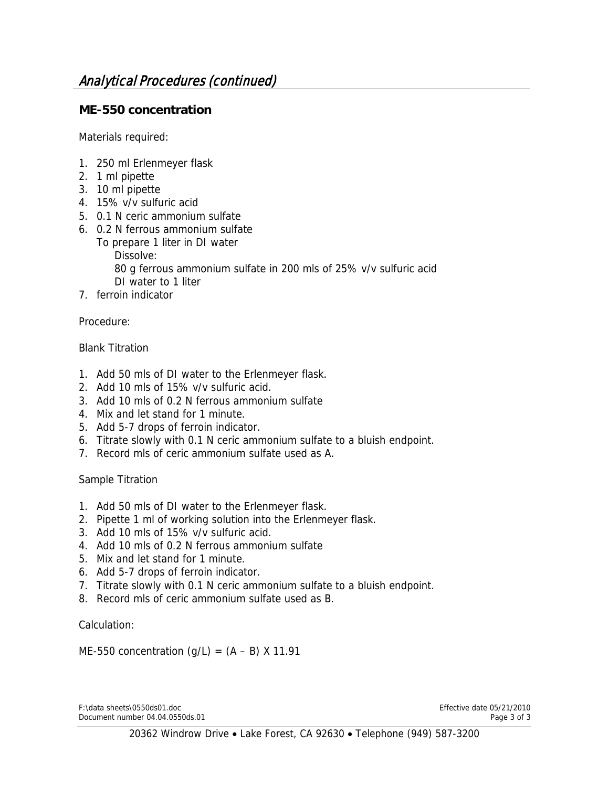#### **ME-550 concentration**

Materials required:

- 1. 250 ml Erlenmeyer flask
- 2. 1 ml pipette
- 3. 10 ml pipette
- 4. 15% v/v sulfuric acid
- 5. 0.1 N ceric ammonium sulfate
- 6. 0.2 N ferrous ammonium sulfate
	- To prepare 1 liter in DI water
		- Dissolve:

 80 g ferrous ammonium sulfate in 200 mls of 25% v/v sulfuric acid DI water to 1 liter

7. ferroin indicator

Procedure:

#### Blank Titration

- 1. Add 50 mls of DI water to the Erlenmeyer flask.
- 2. Add 10 mls of 15% v/v sulfuric acid.
- 3. Add 10 mls of 0.2 N ferrous ammonium sulfate
- 4. Mix and let stand for 1 minute.
- 5. Add 5-7 drops of ferroin indicator.
- 6. Titrate slowly with 0.1 N ceric ammonium sulfate to a bluish endpoint.
- 7. Record mls of ceric ammonium sulfate used as A.

#### Sample Titration

- 1. Add 50 mls of DI water to the Erlenmeyer flask.
- 2. Pipette 1 ml of working solution into the Erlenmeyer flask.
- 3. Add 10 mls of 15% v/v sulfuric acid.
- 4. Add 10 mls of 0.2 N ferrous ammonium sulfate
- 5. Mix and let stand for 1 minute.
- 6. Add 5-7 drops of ferroin indicator.
- 7. Titrate slowly with 0.1 N ceric ammonium sulfate to a bluish endpoint.
- 8. Record mls of ceric ammonium sulfate used as B.

Calculation:

ME-550 concentration  $(q/L) = (A - B) X 11.91$ 

F:\data sheets\0550ds01.doc<br>
Document number 04.04.0550ds.01 Document number 04.04.0550ds.01